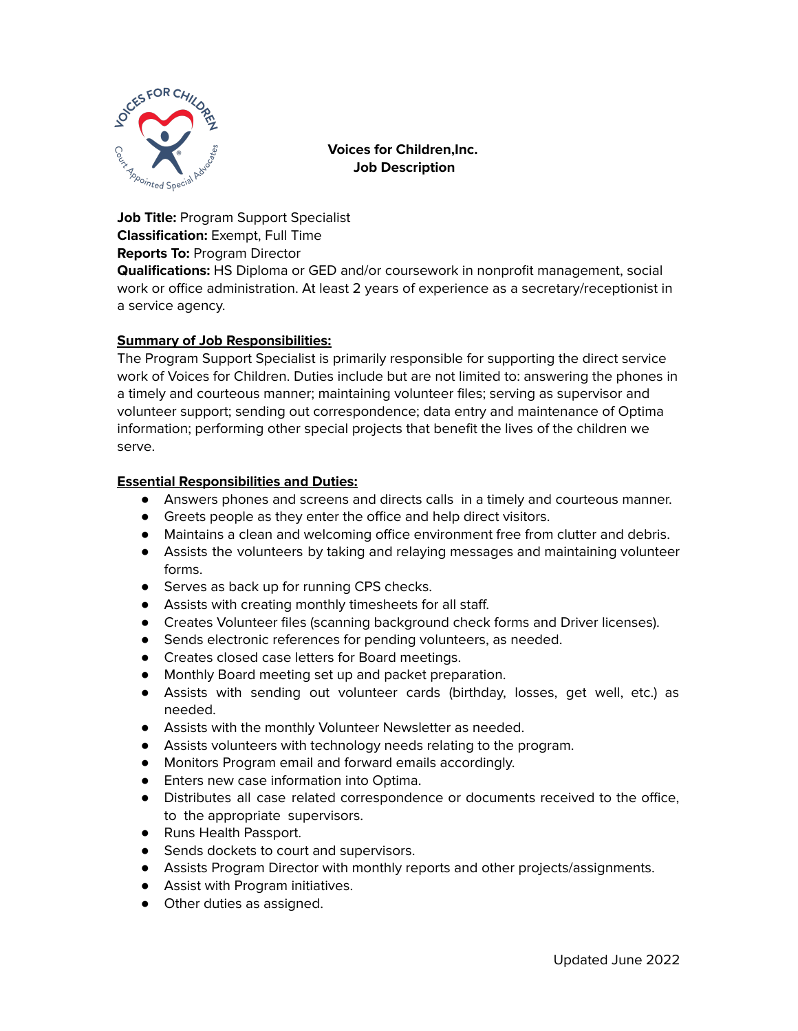

**Voices for Children,Inc. Job Description**

**Job Title:** Program Support Specialist **Classification:** Exempt, Full Time **Reports To:** Program Director

**Qualifications:** HS Diploma or GED and/or coursework in nonprofit management, social work or office administration. At least 2 years of experience as a secretary/receptionist in a service agency.

## **Summary of Job Responsibilities:**

The Program Support Specialist is primarily responsible for supporting the direct service work of Voices for Children. Duties include but are not limited to: answering the phones in a timely and courteous manner; maintaining volunteer files; serving as supervisor and volunteer support; sending out correspondence; data entry and maintenance of Optima information; performing other special projects that benefit the lives of the children we serve.

## **Essential Responsibilities and Duties:**

- Answers phones and screens and directs calls in a timely and courteous manner.
- Greets people as they enter the office and help direct visitors.
- Maintains a clean and welcoming office environment free from clutter and debris.
- Assists the volunteers by taking and relaying messages and maintaining volunteer forms.
- Serves as back up for running CPS checks.
- Assists with creating monthly timesheets for all staff.
- Creates Volunteer files (scanning background check forms and Driver licenses).
- Sends electronic references for pending volunteers, as needed.
- Creates closed case letters for Board meetings.
- Monthly Board meeting set up and packet preparation.
- Assists with sending out volunteer cards (birthday, losses, get well, etc.) as needed.
- Assists with the monthly Volunteer Newsletter as needed.
- Assists volunteers with technology needs relating to the program.
- Monitors Program email and forward emails accordingly.
- Enters new case information into Optima.
- Distributes all case related correspondence or documents received to the office, to the appropriate supervisors.
- Runs Health Passport.
- Sends dockets to court and supervisors.
- Assists Program Director with monthly reports and other projects/assignments.
- Assist with Program initiatives.
- Other duties as assigned.